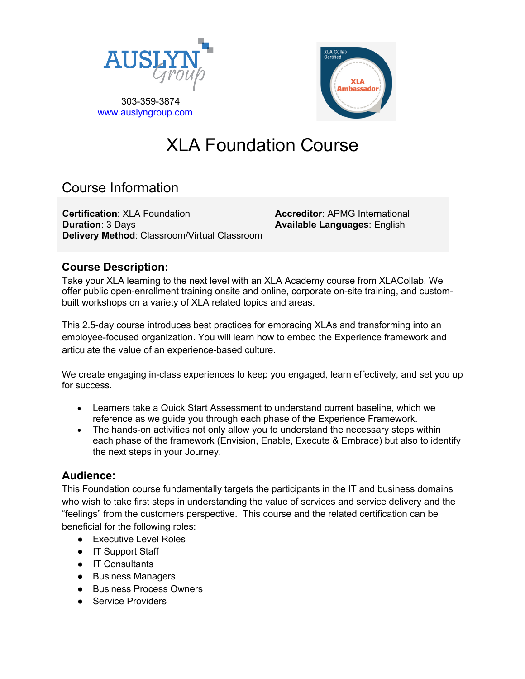



# XLA Foundation Course

# Course Information

**Certification**: XLA Foundation **Duration**: 3 Days **Delivery Method**: Classroom/Virtual Classroom

**Accreditor**: APMG International **Available Languages**: English

## **Course Description:**

Take your XLA learning to the next level with an XLA Academy course from XLACollab. We offer public open-enrollment training onsite and online, corporate on-site training, and custombuilt workshops on a variety of XLA related topics and areas.

This 2.5-day course introduces best practices for embracing XLAs and transforming into an employee-focused organization. You will learn how to embed the Experience framework and articulate the value of an experience-based culture.

We create engaging in-class experiences to keep you engaged, learn effectively, and set you up for success.

- Learners take a Quick Start Assessment to understand current baseline, which we reference as we guide you through each phase of the Experience Framework.
- The hands-on activities not only allow you to understand the necessary steps within each phase of the framework (Envision, Enable, Execute & Embrace) but also to identify the next steps in your Journey.

## **Audience:**

This Foundation course fundamentally targets the participants in the IT and business domains who wish to take first steps in understanding the value of services and service delivery and the "feelings" from the customers perspective. This course and the related certification can be beneficial for the following roles:

- Executive Level Roles
- IT Support Staff
- IT Consultants
- Business Managers
- Business Process Owners
- Service Providers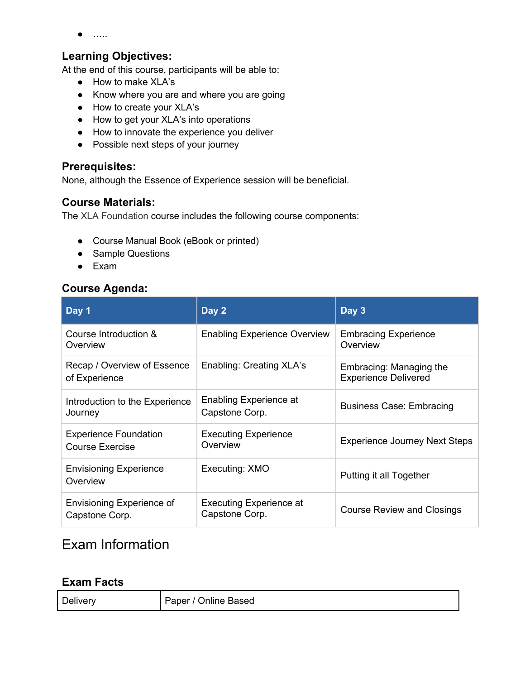$\bullet$  …..

#### **Learning Objectives:**

At the end of this course, participants will be able to:

- How to make XLA's
- Know where you are and where you are going
- How to create your XLA's
- How to get your XLA's into operations
- How to innovate the experience you deliver
- Possible next steps of your journey

#### **Prerequisites:**

None, although the Essence of Experience session will be beneficial.

#### **Course Materials:**

The XLA Foundation course includes the following course components:

- Course Manual Book (eBook or printed)
- Sample Questions
- Exam

#### **Course Agenda:**

| Day 1                                                  | Day 2                                            | Day 3                                                  |
|--------------------------------------------------------|--------------------------------------------------|--------------------------------------------------------|
| Course Introduction &<br>Overview                      | <b>Enabling Experience Overview</b>              | <b>Embracing Experience</b><br>Overview                |
| Recap / Overview of Essence<br>of Experience           | Enabling: Creating XLA's                         | Embracing: Managing the<br><b>Experience Delivered</b> |
| Introduction to the Experience<br>Journey              | Enabling Experience at<br>Capstone Corp.         | <b>Business Case: Embracing</b>                        |
| <b>Experience Foundation</b><br><b>Course Exercise</b> | <b>Executing Experience</b><br>Overview          | <b>Experience Journey Next Steps</b>                   |
| <b>Envisioning Experience</b><br>Overview              | Executing: XMO                                   | Putting it all Together                                |
| Envisioning Experience of<br>Capstone Corp.            | <b>Executing Experience at</b><br>Capstone Corp. | <b>Course Review and Closings</b>                      |

# Exam Information

#### **Exam Facts**

| Delivery | Paper / Online Based |
|----------|----------------------|
|----------|----------------------|